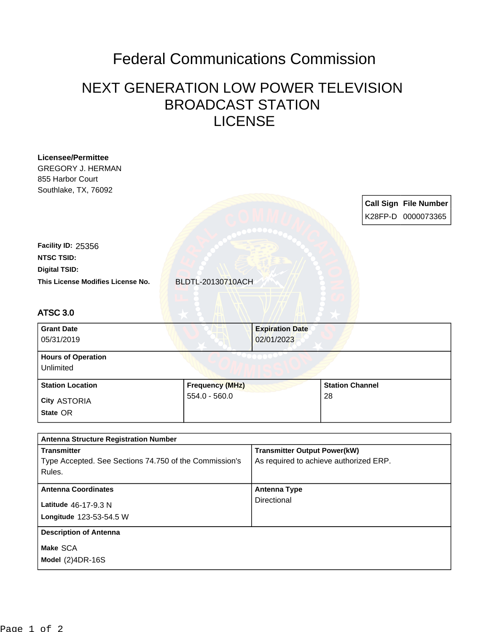## Federal Communications Commission

## NEXT GENERATION LOW POWER TELEVISION BROADCAST STATION LICENSE

| <b>Licensee/Permittee</b>                                        |                        |                                                                               |                              |  |
|------------------------------------------------------------------|------------------------|-------------------------------------------------------------------------------|------------------------------|--|
| <b>GREGORY J. HERMAN</b>                                         |                        |                                                                               |                              |  |
| 855 Harbor Court                                                 |                        |                                                                               |                              |  |
| Southlake, TX, 76092                                             |                        |                                                                               |                              |  |
|                                                                  |                        |                                                                               | <b>Call Sign File Number</b> |  |
|                                                                  |                        |                                                                               | K28FP-D 0000073365           |  |
|                                                                  |                        |                                                                               |                              |  |
| Facility ID: 25356                                               |                        |                                                                               |                              |  |
| <b>NTSC TSID:</b>                                                |                        |                                                                               |                              |  |
| <b>Digital TSID:</b>                                             |                        |                                                                               |                              |  |
| This License Modifies License No.                                | BLDTL-20130710ACH      |                                                                               |                              |  |
|                                                                  |                        |                                                                               |                              |  |
|                                                                  |                        |                                                                               |                              |  |
| <b>ATSC 3.0</b>                                                  |                        |                                                                               |                              |  |
| <b>Grant Date</b>                                                |                        |                                                                               | <b>Expiration Date</b>       |  |
| 05/31/2019                                                       |                        |                                                                               | 02/01/2023                   |  |
| <b>Hours of Operation</b>                                        |                        |                                                                               |                              |  |
| Unlimited                                                        |                        |                                                                               |                              |  |
| <b>Station Location</b>                                          | <b>Frequency (MHz)</b> |                                                                               | <b>Station Channel</b>       |  |
|                                                                  | $554.0 - 560.0$        |                                                                               | 28                           |  |
| City ASTORIA                                                     |                        |                                                                               |                              |  |
| State OR                                                         |                        |                                                                               |                              |  |
|                                                                  |                        |                                                                               |                              |  |
| <b>Antenna Structure Registration Number</b>                     |                        |                                                                               |                              |  |
| <b>Transmitter</b>                                               |                        | <b>Transmitter Output Power(kW)</b><br>As required to achieve authorized ERP. |                              |  |
| Type Accepted. See Sections 74.750 of the Commission's<br>Rules. |                        |                                                                               |                              |  |
|                                                                  |                        |                                                                               |                              |  |
| <b>Antenna Coordinates</b>                                       |                        | <b>Antenna Type</b>                                                           |                              |  |
| Latitude 46-17-9.3 N                                             |                        | Directional                                                                   |                              |  |
| Longitude 123-53-54.5 W                                          |                        |                                                                               |                              |  |
| <b>Description of Antenna</b>                                    |                        |                                                                               |                              |  |
| Make SCA                                                         |                        |                                                                               |                              |  |
| Model (2)4DR-16S                                                 |                        |                                                                               |                              |  |
|                                                                  |                        |                                                                               |                              |  |